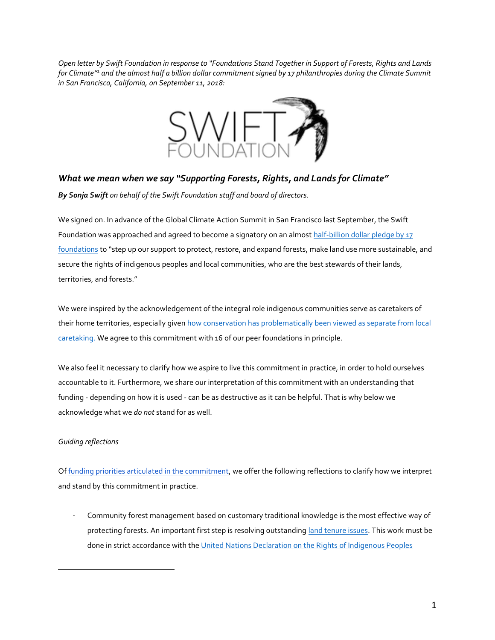*Open letter by Swift Foundation in response to "Foundations Stand Together in Support of Forests, Rights and Lands for Climate"<sup>1</sup> and the almost half a billion dollar commitment signed by 17 philanthropies during the Climate Summit in San Francisco, California, on September 11, 2018:*



*What we mean when we say "Supporting Forests, Rights, and Lands for Climate" By Sonja Swift on behalf of the Swift Foundation staff and board of directors.*

We signed on. In advance of the Global Climate Action Summit in San Francisco last September, the Swift Foundation was approached and agreed to become a signatory on an almost [half-billion dollar pledge by 17](https://news.mongabay.com/2018/09/forests-and-indigenous-rights-land-459m-commitment/) [foundations](https://news.mongabay.com/2018/09/forests-and-indigenous-rights-land-459m-commitment/) to "step up our support to protect, restore, and expand forests, make land use more sustainable, and secure the rights of indigenous peoples and local communities, who are the best stewards of their lands, territories, and forests."

We were inspired by the acknowledgement of the integral role indigenous communities serve as caretakers of their home territories, especially given how conservation has problematically been viewed as separate from local [caretaking.](https://www.theguardian.com/environment/2009/jun/03/yosemite-conservation-indigenous-people) We agree to this commitment with 16 of our peer foundations in principle.

We also feel it necessary to clarify how we aspire to live this commitment in practice, in order to hold ourselves accountable to it. Furthermore, we share our interpretation of this commitment with an understanding that funding - depending on how it is used - can be as destructive as it can be helpful. That is why below we acknowledge what we *do not* stand for as well.

## *Guiding reflections*

 $\overline{a}$ 

O[f funding priorities articulated in the commitment,](http://www.climateandlandusealliance.org/supporting-forests-rights-and-lands-for-climate/) we offer the following reflections to clarify how we interpret and stand by this commitment in practice.

- Community forest management based on customary traditional knowledge is the most effective way of protecting forests. An important first step is resolving outstandin[g land tenure issues.](https://indianlaw.org/issue/land-rights) This work must be done in strict accordance with the [United Nations Declaration on the Rights](https://www.un.org/development/desa/indigenouspeoples/declaration-on-the-rights-of-indigenous-peoples.html) of Indigenous Peoples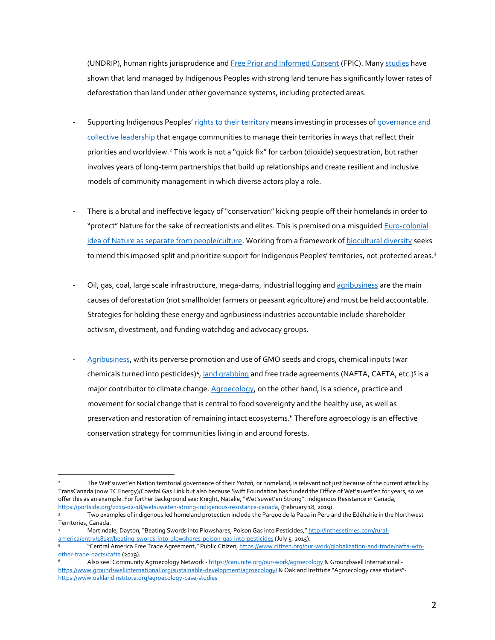(UNDRIP), human rights jurisprudence an[d Free Prior and Informed Consent](https://www.culturalsurvival.org/publications/cultural-survival-quarterly/free-prior-and-informed-consent-protecting-indigenous) (FPIC). Many [studies](https://rightsandresources.org/en/who-owns-the-worlds-land-a-global-baseline-of-indigenous-and-community-land-rights/#.XHbRX9F7kWp) have shown that land managed by Indigenous Peoples with strong land tenure has significantly lower rates of deforestation than land under other governance systems, including protected areas.

- Supporting Indigenous Peoples' [rights to their territory](https://theconversation.com/corporations-dont-seem-to-understand-indigenous-jurisdiction-109608) means investing in processes of governance and [collective leadership](http://www.wetsuweten.com/office/our-mission/) that engage communities to manage their territories in ways that reflect their priorities and worldview.<sup>2</sup> This work is not a "quick fix" for carbon (dioxide) sequestration, but rather involves years of long-term partnerships that build up relationships and create resilient and inclusive models of community management in which diverse actors play a role.
- There is a brutal and ineffective legacy of "conservation" kicking people off their homelands in order to "protect" Nature for the sake of recreationists and elites. This is premised on a misquided Euro-colonial [idea of Nature as separate from people/culture.](https://www.williamcronon.net/writing/Trouble_with_Wilderness_Main.html) Working from a framework o[f biocultural diversity](https://www.nytimes.com/2014/08/13/opinion/preserving-biocultural-diversity.html) seeks to mend this imposed split and prioritize support for Indigenous Peoples' territories, not protected areas.<sup>3</sup>
- Oil, gas, coal, large scale infrastructure, mega-dams, industrial logging and [agribusiness](https://www.globalagriculture.org/report-topics/about-the-iaastd-report/about-iaastd.html) are the main causes of deforestation (not smallholder farmers or peasant agriculture) and must be held accountable. Strategies for holding these energy and agribusiness industries accountable include shareholder activism, divestment, and funding watchdog and advocacy groups.
- [Agribusiness,](https://truthout.org/articles/the-gates-foundations-ceres2030-plan-pushes-agenda-of-agribusiness/) with its perverse promotion and use of GMO seeds and crops, chemical inputs (war chemicals turned into pesticides)<sup>4</sup>[, land grabbing](https://www.oaklandinstitute.org/sites/oaklandinstitute.org/files/highest-bidder-eng-high-res.pdf) and free trade agreements (NAFTA, CAFTA, etc.)<sup>5</sup> is a major contributor to climate change[. Agroecology,](https://foodfirst.org/fertile-ground-scaling-agroecology-from-the-ground-up/) on the other hand, is a science, practice and movement for social change that is central to food sovereignty and the healthy use, as well as preservation and restoration of remaining intact ecosystems.<sup>6</sup> Therefore agroecology is an effective conservation strategy for communities living in and around forests.

Two examples of indigenous led homeland protection include the Parque de la Papa in Peru and the Edéhzhíe in the Northwest Territories, Canada.

 $\overline{a}$ <sup>2</sup> The Wet'suwet'en Nation territorial governance of their *Yintah,* or homeland, is relevant not just because of the current attack by TransCanada (now TC Energy)/Coastal Gas Link but also because Swift Foundation has funded the Office of Wet'suwet'en for years, so we offer this as an example. For further background see: Knight, Natalie, "Wet'suwet'en Strong": Indigenous Resistance in Canada, [https://portside.org/2019-02-18/wetsuweten-strong-indigenous-resistance-canada,](https://portside.org/2019-02-18/wetsuweten-strong-indigenous-resistance-canada) (February 18, 2019).

<sup>4</sup> Martindale, Dayton, "Beating Swords into Plowshares, Poison Gas into Pesticides," [http://inthesetimes.com/rural](http://inthesetimes.com/rural-america/entry/18137/beating-swords-into-plowshares-poison-gas-into-pesticides)[america/entry/18137/beating-swords-into-plowshares-poison-gas-into-pesticides](http://inthesetimes.com/rural-america/entry/18137/beating-swords-into-plowshares-poison-gas-into-pesticides) (July 5, 2015).

<sup>5</sup> "Central America Free Trade Agreement," Public Citizen, [https://www.citizen.org/our-work/globalization-and-trade/nafta-wto](https://www.citizen.org/our-work/globalization-and-trade/nafta-wto-other-trade-pacts/cafta)[other-trade-pacts/cafta](https://www.citizen.org/our-work/globalization-and-trade/nafta-wto-other-trade-pacts/cafta) (2019).

Also see: Community Agroecology Network - <https://canunite.org/our-work/agroecology> & Groundswell International <https://www.groundswellinternational.org/sustainable-development/agroecology/> & Oakland Institute "Agroecology case studies" <https://www.oaklandinstitute.org/agroecology-case-studies>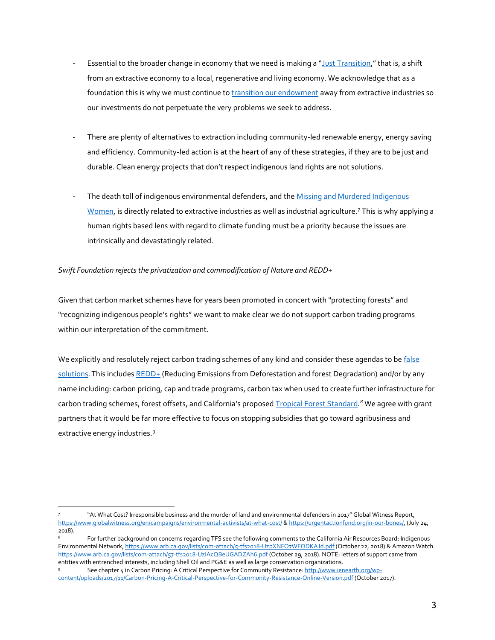- Essential to the broader change in economy that we need is making a "[Just Transition](https://movementgeneration.org/justtransition/)," that is, a shift from an extractive economy to a local, regenerative and living economy. We acknowledge that as a foundation this is why we must continue t[o transition our endowment](https://swiftfoundation.org/investments-search/?swift_investment_portfolio=Transitional) away from extractive industries so our investments do not perpetuate the very problems we seek to address.
- There are plenty of alternatives to extraction including community-led renewable energy, energy saving and efficiency. Community-led action is at the heart of any of these strategies, if they are to be just and durable. Clean energy projects that don't respect indigenous land rights are not solutions.
- The death toll of indigenous environmental defenders, and the Missing and Murdered Indigenous [Women,](https://www.poetryfoundation.org/articles/148001/their-names-cover-90-pages) is directly related to extractive industries as well as industrial agriculture.<sup>7</sup> This is why applying a human rights based lens with regard to climate funding must be a priority because the issues are intrinsically and devastatingly related.

## *Swift Foundation rejects the privatization and commodification of Nature and REDD+*

Given that carbon market schemes have for years been promoted in concert with "protecting forests" and "recognizing indigenous people's rights" we want to make clear we do not support carbon trading programs within our interpretation of the commitment.

We explicitly and resolutely reject carbon trading schemes of any kind and consider these agendas to be false [solutions.](http://www.ienearth.org/wp-content/uploads/2017/11/Carbon-Pricing-A-Critical-Perspective-for-Community-Resistance-Online-Version.pdf) This include[s REDD+](https://redd-monitor.org/2014/10/15/nine-reasons-why-redd-is-a-false-solution-friends-of-the-earth-international/) (Reducing Emissions from Deforestation and forest Degradation) and/or by any name including: carbon pricing, cap and trade programs, carbon tax when used to create further infrastructure for carbon trading schemes, forest offsets, and California's proposed [Tropical Forest Standard](https://redd-monitor.org/2018/11/20/california-postpones-decision-on-tropical-forest-standard-until-april-2019/)*. <sup>8</sup>* We agree with grant partners that it would be far more effective to focus on stopping subsidies that go toward agribusiness and extractive energy industries.<sup>9</sup>

 $\overline{a}$ 7 "At What Cost? Irresponsible business and the murder of land and environmental defenders in 2017" Global Witness Report, <https://www.globalwitness.org/en/campaigns/environmental-activists/at-what-cost/> [& https://urgentactionfund.org/in-our-bones/,](https://urgentactionfund.org/in-our-bones/) (July 24, 2018).

For further background on concerns regarding TFS see the following comments to the California Air Resources Board: Indigenous Environmental Network, <https://www.arb.ca.gov/lists/com-attach/5-tfs2018-UzpXNFQ7WFQDKAJd.pdf> (October 22, 2018) & Amazon Watch <https://www.arb.ca.gov/lists/com-attach/57-tfs2018-UzIAcQBeUGADZAh6.pdf> (October 29, 2018). NOTE: letters of support came from entities with entrenched interests, including Shell Oil and PG&E as well as large conservation organizations.

<sup>9</sup> See chapter 4 in Carbon Pricing: A Critical Perspective for Community Resistance: [http://www.ienearth.org/wp](http://www.ienearth.org/wp-content/uploads/2017/11/Carbon-Pricing-A-Critical-Perspective-for-Community-Resistance-Online-Version.pdf)[content/uploads/2017/11/Carbon-Pricing-A-Critical-Perspective-for-Community-Resistance-Online-Version.pdf](http://www.ienearth.org/wp-content/uploads/2017/11/Carbon-Pricing-A-Critical-Perspective-for-Community-Resistance-Online-Version.pdf) (October 2017).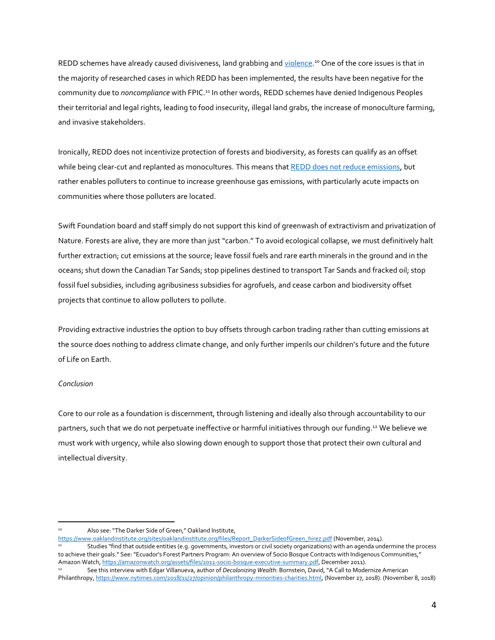REDD schemes have already caused divisiveness, land grabbing and <u>violence</u>.<sup>10</sup> One of the core issues is that in the majority of researched cases in which REDD has been implemented, the results have been negative for the community due to *noncompliance* with FPIC.<sup>11</sup> In other words, REDD schemes have denied Indigenous Peoples their territorial and legal rights, leading to food insecurity, illegal land grabs, the increase of monoculture farming, and invasive stakeholders.

Ironically, REDD does not incentivize protection of forests and biodiversity, as forests can qualify as an offset while being clear-cut and replanted as monocultures. This means that [REDD does not reduce emissions,](https://www.boell.de/en/2019/01/11/redd-lost-decade-international-forest-conservation-0) but rather enables polluters to continue to increase greenhouse gas emissions, with particularly acute impacts on communities where those polluters are located.

Swift Foundation board and staff simply do not support this kind of greenwash of extractivism and privatization of Nature. Forests are alive, they are more than just "carbon." To avoid ecological collapse, we must definitively halt further extraction; cut emissions at the source; leave fossil fuels and rare earth minerals in the ground and in the oceans; shut down the Canadian Tar Sands; stop pipelines destined to transport Tar Sands and fracked oil; stop fossil fuel subsidies, including agribusiness subsidies for agrofuels, and cease carbon and biodiversity offset projects that continue to allow polluters to pollute.

Providing extractive industries the option to buy offsets through carbon trading rather than cutting emissions at the source does nothing to address climate change, and only further imperils our children's future and the future of Life on Earth.

## *Conclusion*

Core to our role as a foundation is discernment, through listening and ideally also through accountability to our partners, such that we do not perpetuate ineffective or harmful initiatives through our funding.<sup>12</sup> We believe we must work with urgency, while also slowing down enough to support those that protect their own cultural and intellectual diversity.

[https://www.oaklandinstitute.org/sites/oaklandinstitute.org/files/Report\\_DarkerSideofGreen\\_hirez.pdf](https://www.oaklandinstitute.org/sites/oaklandinstitute.org/files/Report_DarkerSideofGreen_hirez.pdf) (November, 2014). <sup>11</sup> Studies "find that outside entities (e.g. governments, investors or civil society organizations) with an agenda undermine the process to achieve their goals." See: "Ecuador's Forest Partners Program: An overview of Socio Bosque Contracts with Indigenous Communities," Amazon Watch, [https://amazonwatch.org/assets/files/2011-socio-bosque-executive-summary.pdf,](https://amazonwatch.org/assets/files/2011-socio-bosque-executive-summary.pdf) December 2011).

 $\overline{a}$ Also see: "The Darker Side of Green," Oakland Institute,

<sup>12</sup> See this interview with Edgar Villanueva, author of *Decolonizing Wealth*: Bornstein, David, "A Call to Modernize American Philanthropy[, https://www.nytimes.com/2018/11/27/opinion/philanthropy-minorities-charities.html,](https://www.nytimes.com/2018/11/27/opinion/philanthropy-minorities-charities.html) (November 27, 2018). (November 8, 2018)